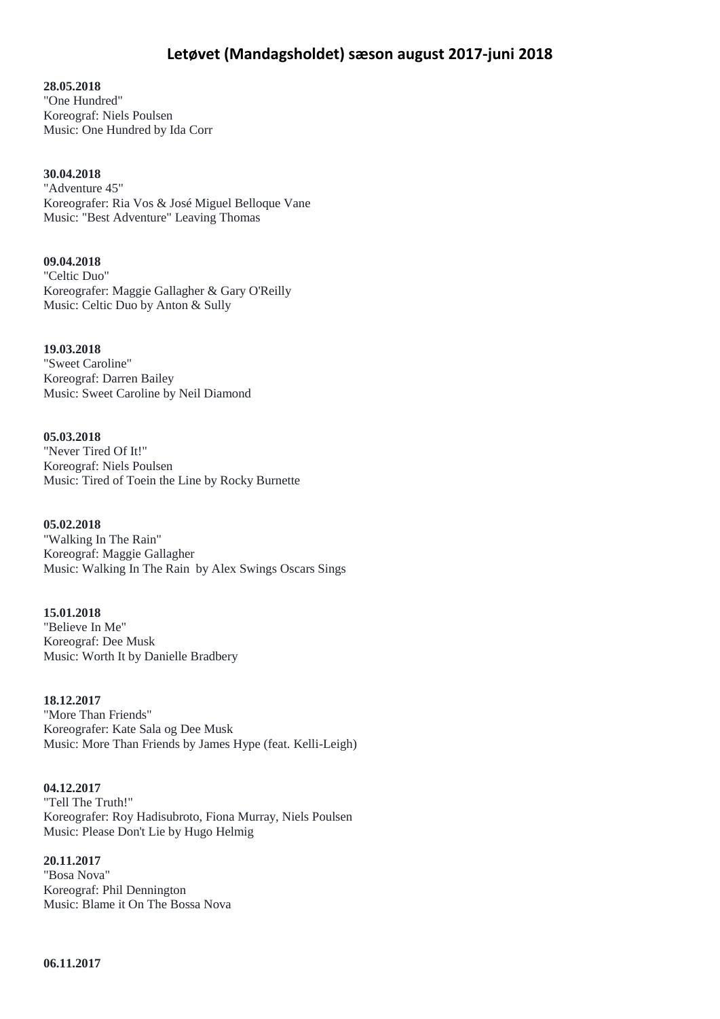# **28.05.2018**

"One Hundred" Koreograf: Niels Poulsen Music: One Hundred by Ida Corr

### **30.04.2018**

"Adventure 45" Koreografer: Ria Vos & José Miguel Belloque Vane Music: "Best Adventure" Leaving Thomas

### **09.04.2018**

"Celtic Duo" Koreografer: Maggie Gallagher & Gary O'Reilly Music: Celtic Duo by Anton & Sully

# **19.03.2018**

"Sweet Caroline" Koreograf: Darren Bailey Music: Sweet Caroline by Neil Diamond

### **05.03.2018**

"Never Tired Of It!" Koreograf: Niels Poulsen Music: Tired of Toein the Line by Rocky Burnette

### **05.02.2018**

"Walking In The Rain" Koreograf: Maggie Gallagher Music: Walking In The Rain by Alex Swings Oscars Sings

# **15.01.2018**

"Believe In Me" Koreograf: Dee Musk Music: Worth It by Danielle Bradbery

### **18.12.2017**

"More Than Friends" Koreografer: Kate Sala og Dee Musk Music: More Than Friends by James Hype (feat. Kelli-Leigh)

# **04.12.2017**

"Tell The Truth!" Koreografer: Roy Hadisubroto, Fiona Murray, Niels Poulsen Music: Please Don't Lie by Hugo Helmig

# **20.11.2017**

"Bosa Nova" Koreograf: Phil Dennington Music: Blame it On The Bossa Nova